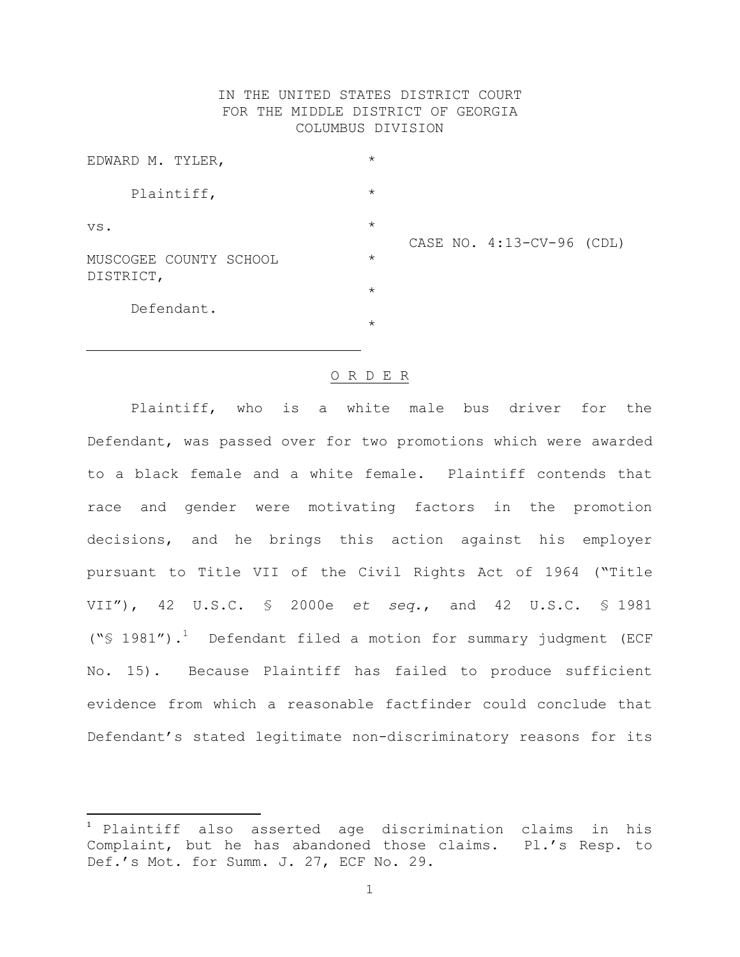# IN THE UNITED STATES DISTRICT COURT FOR THE MIDDLE DISTRICT OF GEORGIA COLUMBUS DIVISION

| EDWARD M. TYLER,                    | $\star$                              |
|-------------------------------------|--------------------------------------|
| Plaintiff,                          | $\star$                              |
| VS.                                 | $\star$<br>CASE NO. 4:13-CV-96 (CDL) |
| MUSCOGEE COUNTY SCHOOL<br>DISTRICT, | $\star$                              |
|                                     | $\star$                              |
| Defendant.                          | $\star$                              |

#### O R D E R

Plaintiff, who is a white male bus driver for the Defendant, was passed over for two promotions which were awarded to a black female and a white female. Plaintiff contends that race and gender were motivating factors in the promotion decisions, and he brings this action against his employer pursuant to Title VII of the Civil Rights Act of 1964 ("Title VII"), 42 U.S.C. § 2000e *et seq.*, and 42 U.S.C. § 1981 ("§ 1981"). <sup>1</sup> Defendant filed a motion for summary judgment (ECF No. 15). Because Plaintiff has failed to produce sufficient evidence from which a reasonable factfinder could conclude that Defendant's stated legitimate non-discriminatory reasons for its

 $\overline{\phantom{a}}$ 

<sup>1</sup> Plaintiff also asserted age discrimination claims in his Complaint, but he has abandoned those claims. Pl.'s Resp. to Def.'s Mot. for Summ. J. 27, ECF No. 29.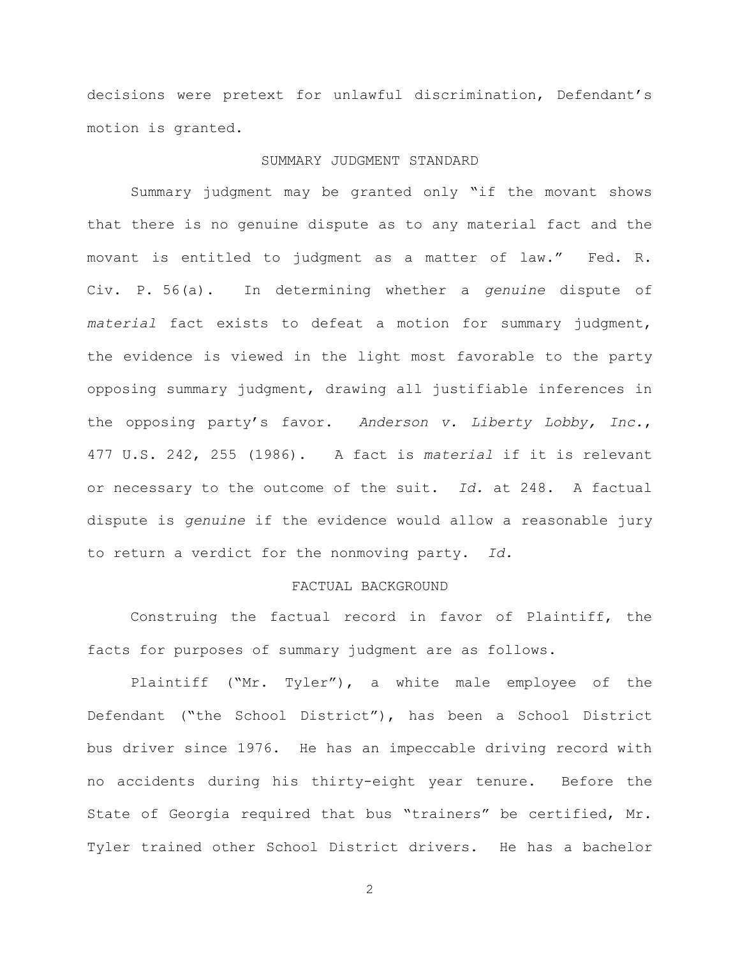decisions were pretext for unlawful discrimination, Defendant's motion is granted.

## SUMMARY JUDGMENT STANDARD

Summary judgment may be granted only "if the movant shows that there is no genuine dispute as to any material fact and the movant is entitled to judgment as a matter of law." Fed. R. Civ. P. 56(a). In determining whether a *genuine* dispute of *material* fact exists to defeat a motion for summary judgment, the evidence is viewed in the light most favorable to the party opposing summary judgment, drawing all justifiable inferences in the opposing party's favor. *Anderson v. Liberty Lobby, Inc.*, 477 U.S. 242, 255 (1986). A fact is *material* if it is relevant or necessary to the outcome of the suit. *Id.* at 248. A factual dispute is *genuine* if the evidence would allow a reasonable jury to return a verdict for the nonmoving party. *Id.*

# FACTUAL BACKGROUND

Construing the factual record in favor of Plaintiff, the facts for purposes of summary judgment are as follows.

Plaintiff ("Mr. Tyler"), a white male employee of the Defendant ("the School District"), has been a School District bus driver since 1976. He has an impeccable driving record with no accidents during his thirty-eight year tenure. Before the State of Georgia required that bus "trainers" be certified, Mr. Tyler trained other School District drivers. He has a bachelor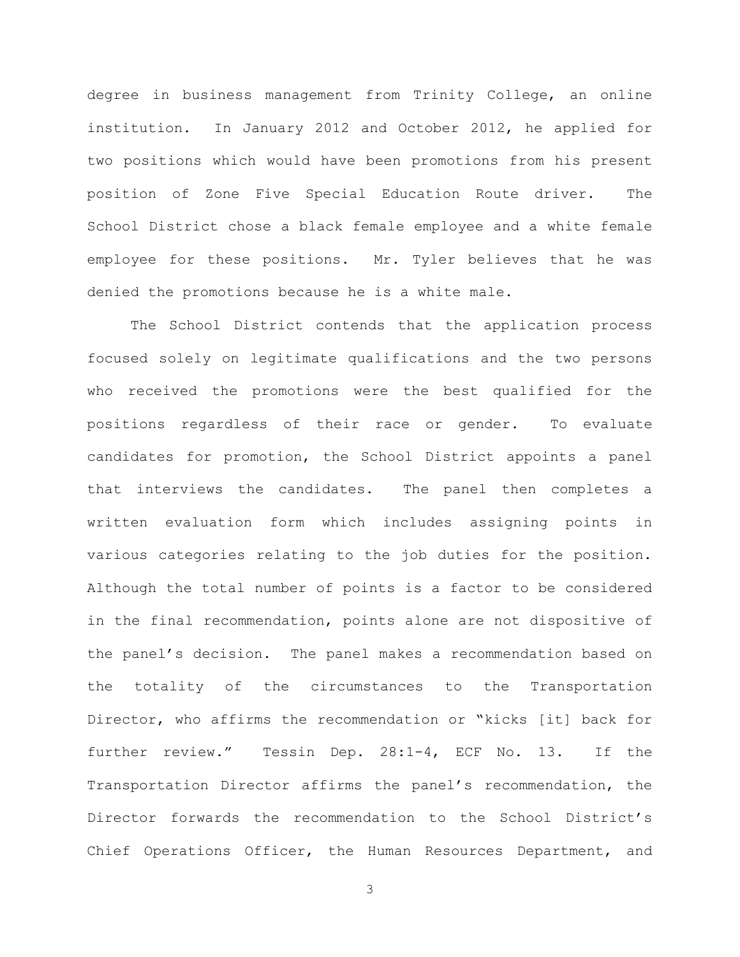degree in business management from Trinity College, an online institution. In January 2012 and October 2012, he applied for two positions which would have been promotions from his present position of Zone Five Special Education Route driver. The School District chose a black female employee and a white female employee for these positions. Mr. Tyler believes that he was denied the promotions because he is a white male.

The School District contends that the application process focused solely on legitimate qualifications and the two persons who received the promotions were the best qualified for the positions regardless of their race or gender. To evaluate candidates for promotion, the School District appoints a panel that interviews the candidates. The panel then completes a written evaluation form which includes assigning points in various categories relating to the job duties for the position. Although the total number of points is a factor to be considered in the final recommendation, points alone are not dispositive of the panel's decision. The panel makes a recommendation based on the totality of the circumstances to the Transportation Director, who affirms the recommendation or "kicks [it] back for further review." Tessin Dep. 28:1-4, ECF No. 13. If the Transportation Director affirms the panel's recommendation, the Director forwards the recommendation to the School District's Chief Operations Officer, the Human Resources Department, and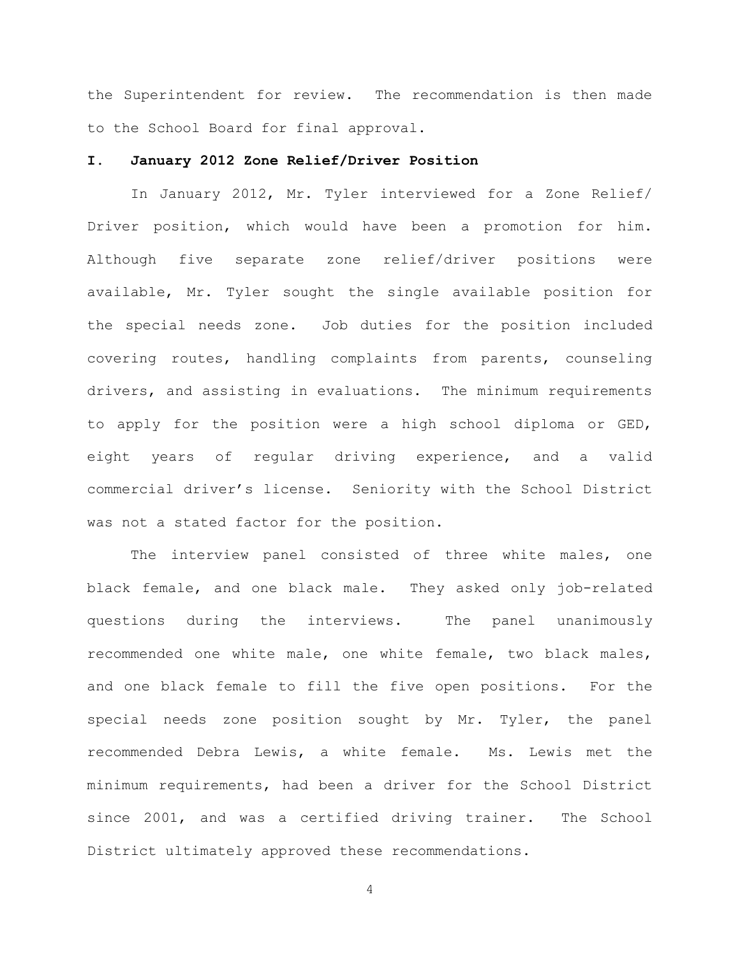the Superintendent for review. The recommendation is then made to the School Board for final approval.

## **I. January 2012 Zone Relief/Driver Position**

In January 2012, Mr. Tyler interviewed for a Zone Relief/ Driver position, which would have been a promotion for him. Although five separate zone relief/driver positions were available, Mr. Tyler sought the single available position for the special needs zone. Job duties for the position included covering routes, handling complaints from parents, counseling drivers, and assisting in evaluations. The minimum requirements to apply for the position were a high school diploma or GED, eight years of regular driving experience, and a valid commercial driver's license. Seniority with the School District was not a stated factor for the position.

The interview panel consisted of three white males, one black female, and one black male. They asked only job-related questions during the interviews. The panel unanimously recommended one white male, one white female, two black males, and one black female to fill the five open positions. For the special needs zone position sought by Mr. Tyler, the panel recommended Debra Lewis, a white female. Ms. Lewis met the minimum requirements, had been a driver for the School District since 2001, and was a certified driving trainer. The School District ultimately approved these recommendations.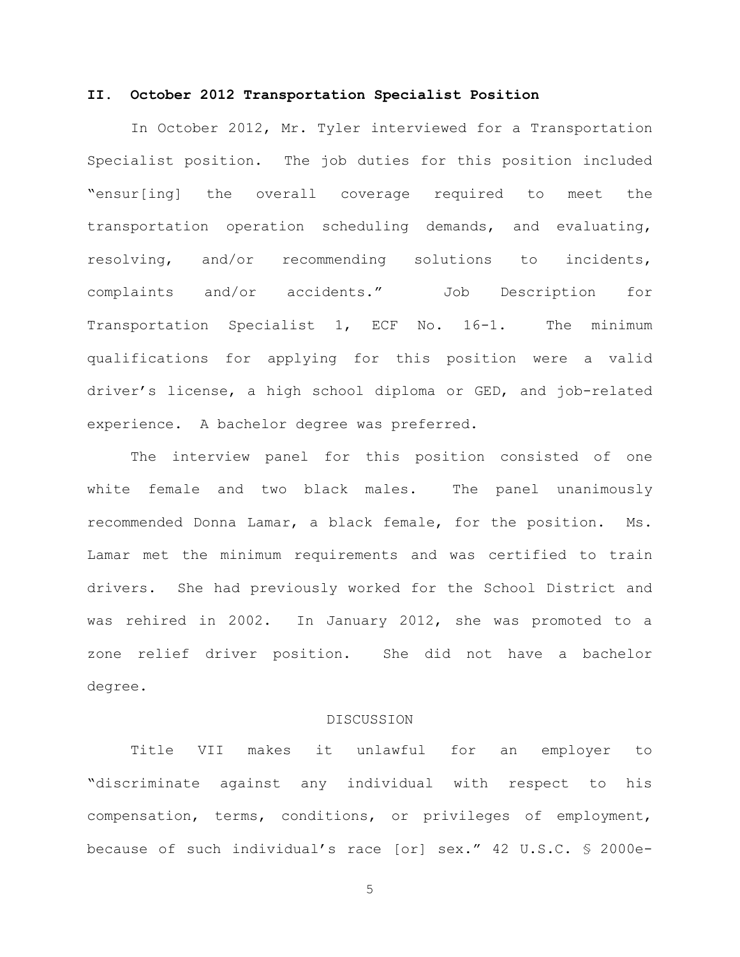## **II. October 2012 Transportation Specialist Position**

In October 2012, Mr. Tyler interviewed for a Transportation Specialist position. The job duties for this position included "ensur[ing] the overall coverage required to meet the transportation operation scheduling demands, and evaluating, resolving, and/or recommending solutions to incidents, complaints and/or accidents." Job Description for Transportation Specialist 1, ECF No. 16-1. The minimum qualifications for applying for this position were a valid driver's license, a high school diploma or GED, and job-related experience. A bachelor degree was preferred.

The interview panel for this position consisted of one white female and two black males. The panel unanimously recommended Donna Lamar, a black female, for the position. Ms. Lamar met the minimum requirements and was certified to train drivers. She had previously worked for the School District and was rehired in 2002. In January 2012, she was promoted to a zone relief driver position. She did not have a bachelor degree.

## DISCUSSION

Title VII makes it unlawful for an employer to "discriminate against any individual with respect to his compensation, terms, conditions, or privileges of employment, because of such individual's race [or] sex." 42 U.S.C. § 2000e-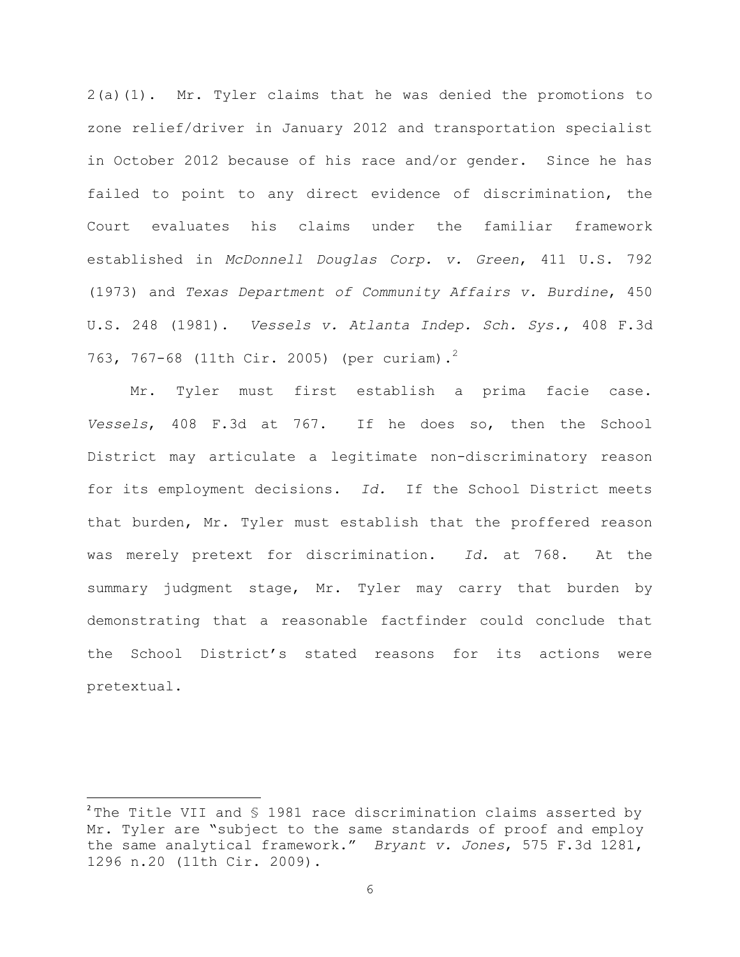2(a)(1). Mr. Tyler claims that he was denied the promotions to zone relief/driver in January 2012 and transportation specialist in October 2012 because of his race and/or gender. Since he has failed to point to any direct evidence of discrimination, the Court evaluates his claims under the familiar framework established in *McDonnell Douglas Corp. v. Green*, 411 U.S. 792 (1973) and *Texas Department of Community Affairs v. Burdine*, 450 U.S. 248 (1981). *Vessels v. Atlanta Indep. Sch. Sys.*, 408 F.3d 763, 767-68 (11th Cir. 2005) (per curiam).<sup>2</sup>

Mr. Tyler must first establish a prima facie case. *Vessels*, 408 F.3d at 767. If he does so, then the School District may articulate a legitimate non-discriminatory reason for its employment decisions. *Id.* If the School District meets that burden, Mr. Tyler must establish that the proffered reason was merely pretext for discrimination. *Id.* at 768.At the summary judgment stage, Mr. Tyler may carry that burden by demonstrating that a reasonable factfinder could conclude that the School District's stated reasons for its actions were pretextual.

l

<sup>&</sup>lt;sup>2</sup> The Title VII and § 1981 race discrimination claims asserted by Mr. Tyler are "subject to the same standards of proof and employ the same analytical framework." *Bryant v. Jones*, 575 F.3d 1281, 1296 n.20 (11th Cir. 2009).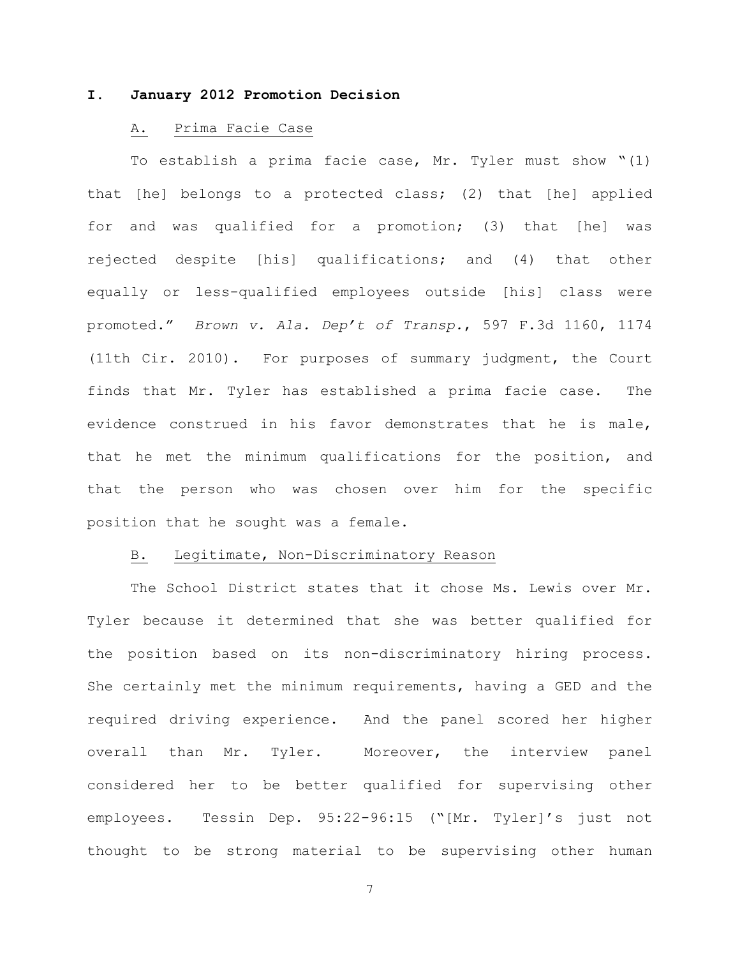# **I. January 2012 Promotion Decision**

## A. Prima Facie Case

To establish a prima facie case, Mr. Tyler must show "(1) that [he] belongs to a protected class; (2) that [he] applied for and was qualified for a promotion; (3) that [he] was rejected despite [his] qualifications; and (4) that other equally or less-qualified employees outside [his] class were promoted." *Brown v. Ala. Dep't of Transp.*, 597 F.3d 1160, 1174 (11th Cir. 2010). For purposes of summary judgment, the Court finds that Mr. Tyler has established a prima facie case. The evidence construed in his favor demonstrates that he is male, that he met the minimum qualifications for the position, and that the person who was chosen over him for the specific position that he sought was a female.

# B. Legitimate, Non-Discriminatory Reason

The School District states that it chose Ms. Lewis over Mr. Tyler because it determined that she was better qualified for the position based on its non-discriminatory hiring process. She certainly met the minimum requirements, having a GED and the required driving experience. And the panel scored her higher overall than Mr. Tyler. Moreover, the interview panel considered her to be better qualified for supervising other employees. Tessin Dep. 95:22-96:15 ("[Mr. Tyler]'s just not thought to be strong material to be supervising other human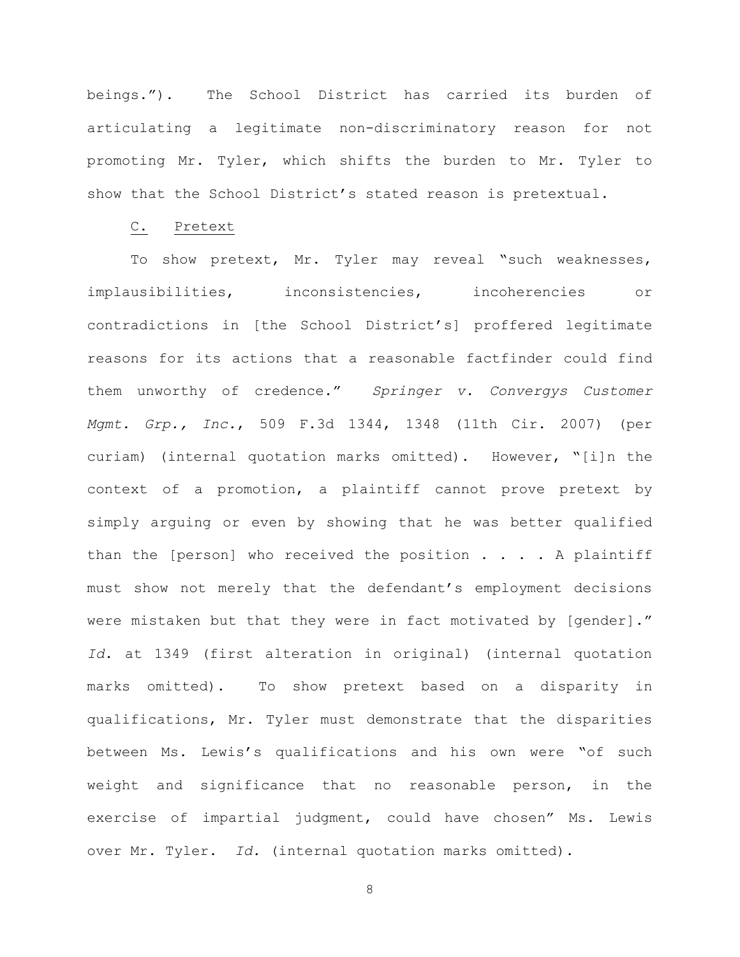beings."). The School District has carried its burden of articulating a legitimate non-discriminatory reason for not promoting Mr. Tyler, which shifts the burden to Mr. Tyler to show that the School District's stated reason is pretextual.

### C. Pretext

To show pretext, Mr. Tyler may reveal "such weaknesses, implausibilities, inconsistencies, incoherencies or contradictions in [the School District's] proffered legitimate reasons for its actions that a reasonable factfinder could find them unworthy of credence." *Springer v. Convergys Customer Mgmt. Grp., Inc.*, 509 F.3d 1344, 1348 (11th Cir. 2007) (per curiam) (internal quotation marks omitted). However, "[i]n the context of a promotion, a plaintiff cannot prove pretext by simply arguing or even by showing that he was better qualified than the [person] who received the position  $\ldots$  . A plaintiff must show not merely that the defendant's employment decisions were mistaken but that they were in fact motivated by [gender]." *Id.* at 1349 (first alteration in original) (internal quotation marks omitted). To show pretext based on a disparity in qualifications, Mr. Tyler must demonstrate that the disparities between Ms. Lewis's qualifications and his own were "of such weight and significance that no reasonable person, in the exercise of impartial judgment, could have chosen" Ms. Lewis over Mr. Tyler. *Id.* (internal quotation marks omitted).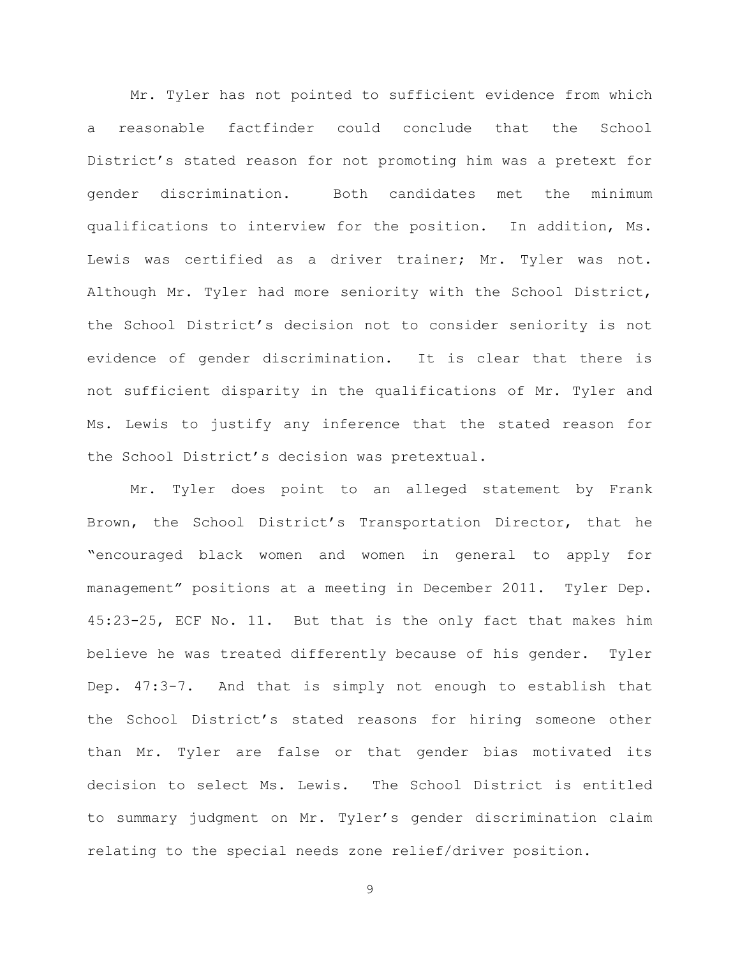Mr. Tyler has not pointed to sufficient evidence from which a reasonable factfinder could conclude that the School District's stated reason for not promoting him was a pretext for gender discrimination. Both candidates met the minimum qualifications to interview for the position. In addition, Ms. Lewis was certified as a driver trainer; Mr. Tyler was not. Although Mr. Tyler had more seniority with the School District, the School District's decision not to consider seniority is not evidence of gender discrimination. It is clear that there is not sufficient disparity in the qualifications of Mr. Tyler and Ms. Lewis to justify any inference that the stated reason for the School District's decision was pretextual.

Mr. Tyler does point to an alleged statement by Frank Brown, the School District's Transportation Director, that he "encouraged black women and women in general to apply for management" positions at a meeting in December 2011. Tyler Dep. 45:23-25, ECF No. 11. But that is the only fact that makes him believe he was treated differently because of his gender. Tyler Dep. 47:3-7. And that is simply not enough to establish that the School District's stated reasons for hiring someone other than Mr. Tyler are false or that gender bias motivated its decision to select Ms. Lewis. The School District is entitled to summary judgment on Mr. Tyler's gender discrimination claim relating to the special needs zone relief/driver position.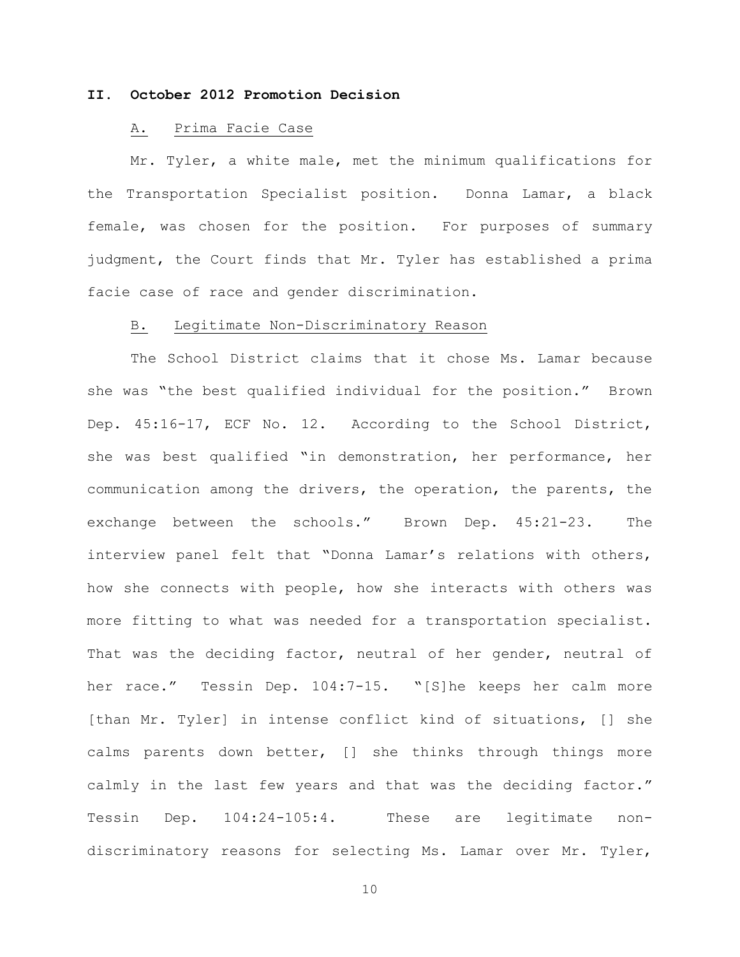# **II. October 2012 Promotion Decision**

## A. Prima Facie Case

Mr. Tyler, a white male, met the minimum qualifications for the Transportation Specialist position. Donna Lamar, a black female, was chosen for the position. For purposes of summary judgment, the Court finds that Mr. Tyler has established a prima facie case of race and gender discrimination.

### B. Legitimate Non-Discriminatory Reason

The School District claims that it chose Ms. Lamar because she was "the best qualified individual for the position." Brown Dep. 45:16-17, ECF No. 12. According to the School District, she was best qualified "in demonstration, her performance, her communication among the drivers, the operation, the parents, the exchange between the schools." Brown Dep. 45:21-23. The interview panel felt that "Donna Lamar's relations with others, how she connects with people, how she interacts with others was more fitting to what was needed for a transportation specialist. That was the deciding factor, neutral of her gender, neutral of her race." Tessin Dep. 104:7-15. "[S]he keeps her calm more [than Mr. Tyler] in intense conflict kind of situations, [] she calms parents down better, [] she thinks through things more calmly in the last few years and that was the deciding factor." Tessin Dep. 104:24-105:4. These are legitimate nondiscriminatory reasons for selecting Ms. Lamar over Mr. Tyler,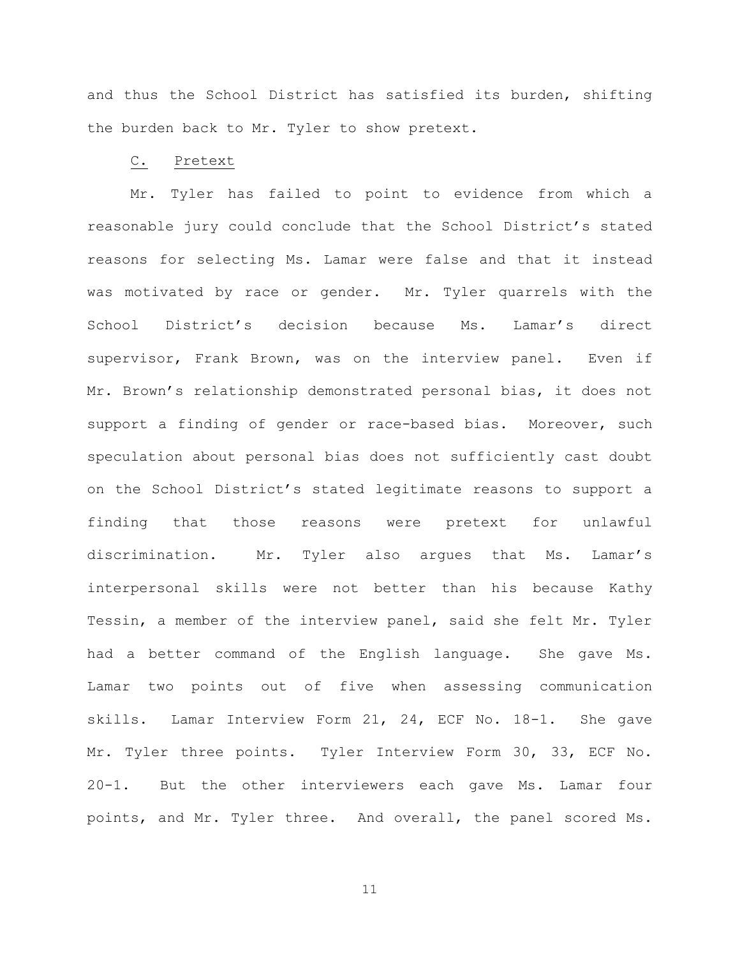and thus the School District has satisfied its burden, shifting the burden back to Mr. Tyler to show pretext.

#### C. Pretext

Mr. Tyler has failed to point to evidence from which a reasonable jury could conclude that the School District's stated reasons for selecting Ms. Lamar were false and that it instead was motivated by race or gender. Mr. Tyler quarrels with the School District's decision because Ms. Lamar's direct supervisor, Frank Brown, was on the interview panel. Even if Mr. Brown's relationship demonstrated personal bias, it does not support a finding of gender or race-based bias. Moreover, such speculation about personal bias does not sufficiently cast doubt on the School District's stated legitimate reasons to support a finding that those reasons were pretext for unlawful discrimination. Mr. Tyler also argues that Ms. Lamar's interpersonal skills were not better than his because Kathy Tessin, a member of the interview panel, said she felt Mr. Tyler had a better command of the English language. She gave Ms. Lamar two points out of five when assessing communication skills. Lamar Interview Form 21, 24, ECF No. 18-1. She gave Mr. Tyler three points. Tyler Interview Form 30, 33, ECF No. 20-1. But the other interviewers each gave Ms. Lamar four points, and Mr. Tyler three. And overall, the panel scored Ms.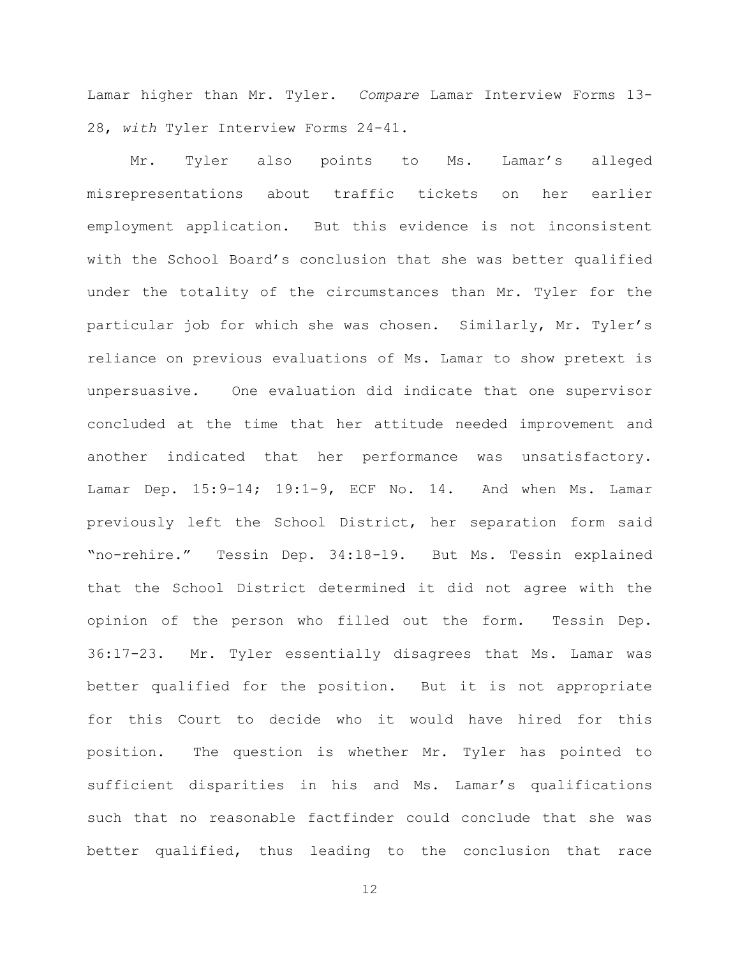Lamar higher than Mr. Tyler. *Compare* Lamar Interview Forms 13- 28, *with* Tyler Interview Forms 24-41.

Mr. Tyler also points to Ms. Lamar's alleged misrepresentations about traffic tickets on her earlier employment application. But this evidence is not inconsistent with the School Board's conclusion that she was better qualified under the totality of the circumstances than Mr. Tyler for the particular job for which she was chosen. Similarly, Mr. Tyler's reliance on previous evaluations of Ms. Lamar to show pretext is unpersuasive. One evaluation did indicate that one supervisor concluded at the time that her attitude needed improvement and another indicated that her performance was unsatisfactory. Lamar Dep. 15:9-14; 19:1-9, ECF No. 14. And when Ms. Lamar previously left the School District, her separation form said "no-rehire." Tessin Dep. 34:18-19. But Ms. Tessin explained that the School District determined it did not agree with the opinion of the person who filled out the form. Tessin Dep. 36:17-23. Mr. Tyler essentially disagrees that Ms. Lamar was better qualified for the position. But it is not appropriate for this Court to decide who it would have hired for this position. The question is whether Mr. Tyler has pointed to sufficient disparities in his and Ms. Lamar's qualifications such that no reasonable factfinder could conclude that she was better qualified, thus leading to the conclusion that race